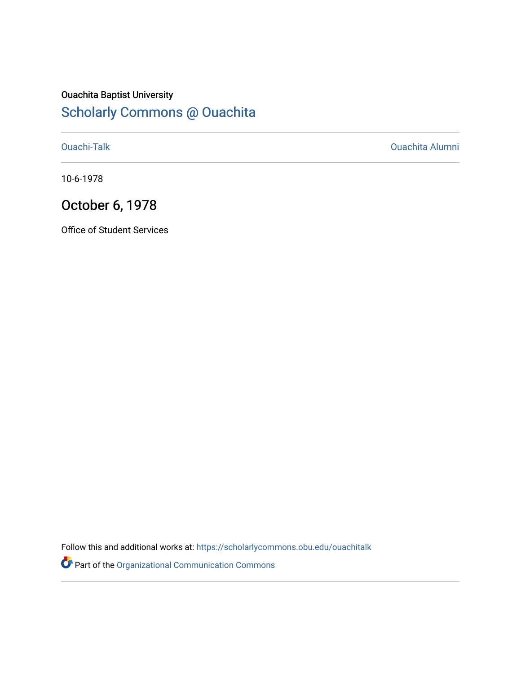## Ouachita Baptist University [Scholarly Commons @ Ouachita](https://scholarlycommons.obu.edu/)

[Ouachi-Talk](https://scholarlycommons.obu.edu/ouachitalk) [Ouachita Alumni](https://scholarlycommons.obu.edu/obu_alum) 

10-6-1978

# October 6, 1978

Office of Student Services

Follow this and additional works at: [https://scholarlycommons.obu.edu/ouachitalk](https://scholarlycommons.obu.edu/ouachitalk?utm_source=scholarlycommons.obu.edu%2Fouachitalk%2F185&utm_medium=PDF&utm_campaign=PDFCoverPages) 

Part of the [Organizational Communication Commons](http://network.bepress.com/hgg/discipline/335?utm_source=scholarlycommons.obu.edu%2Fouachitalk%2F185&utm_medium=PDF&utm_campaign=PDFCoverPages)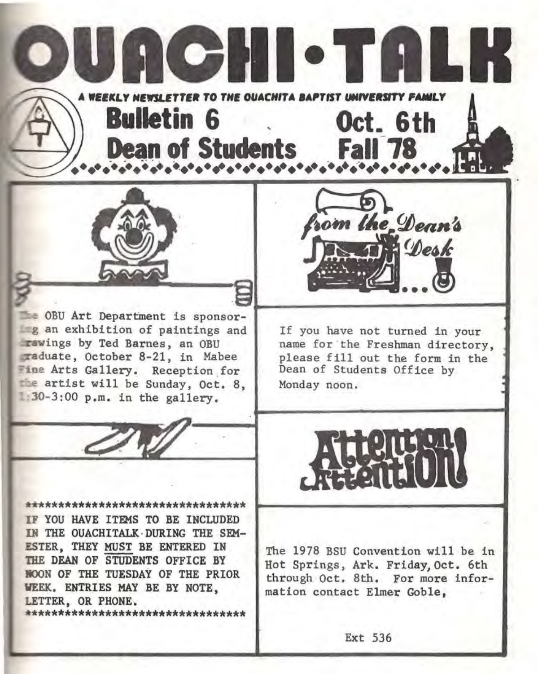OBU Art Department is sponsor**g** an exhibition of paintings and ings by Ted Barnes, an OBU duate, October 8-21, in Mabee Fine Arts Gallery. Reception for the artist will be Sunday, Oct. 8,  $1:30-3:00$  p.m. in the gallery.

If you have not turned in your name for the Freshman directory. please fill out the form in the Dean of Students Office by Monday noon.

\*\*\*\*\*\*\*\*\*\*\*\*\*\*\*\*\*\*\*\*\*\*\*\*\*\*\*\*\*\*\*\*\* IF YOU HAVE ITEMS TO BE INCLUDED IN THE OUACHITALK ·DURING THE SEM-ESTER, THEY MUST BE ENTERED IN THE DEAN OF STUDENTS OFFICE BY BOON OF THE TUESDAY OF THE PRIOR VEEK. ENTRIES MAY BE BY NOTE, LETTER, OR PHONE. \*\*\*\*\*\*\*\*\*\*\*\*\*\*\*\*\*\*\*\*\*\*\*\*\*\*\*\*\*\*\*\*\*

Ext 536

mation contact Elmer Goble,



The 1978 BSU Convention will be in Hot Springs, Ark. Friday,Oct. 6th through Oct. 8th. For more infor-





**TOHI** 

**WEEKLY NEWSLETTER TO THE OUACHITA BAPTIST IMIVERSITY FAMILY** 

**Dean of Students Fall 7** 

**Bulletin 6 Oct. 6th** 

 $\blacksquare$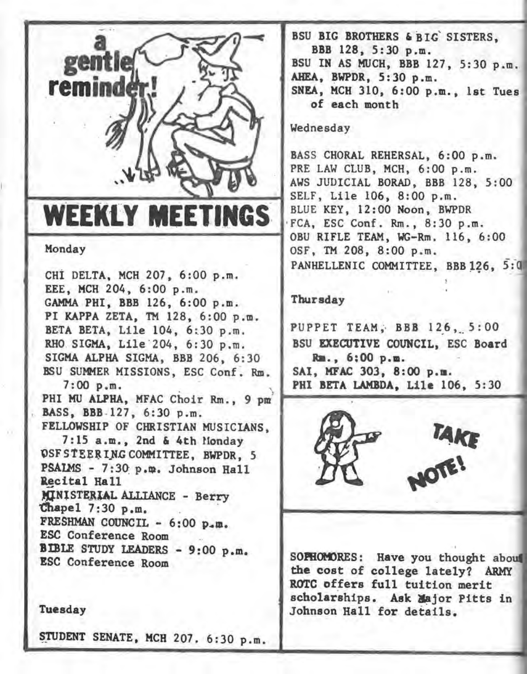

Monday

CHI DELTA, MCH 207, 6:00 p.m. EEE, MCH 204, 6:00 p.m. GAMMA PHI, BBB 126, 6:00 p.m. PI KAPPA ZETA, TM 128, 6:00 p.m . BETA BETA, Lile 104, 6:30 p.m. RHO SIGMA, Lile 204, 6:30 p.m. SIGMA ALPHA SIGMA, BBB 206, 6:30 BSU SUMMER MISSIONS, ESC Conf. Rm. 7:00 p.m.<br>PHI MU ALPHA, MFAC Choir Rm., 9 pm<sup>3</sup><br>BASS, BBB 127, 6:30 p.m. FELLOWSHIP OF CHRISTIAN MUSICIANS , 7:15a.m., 2nd & 4th Honday OSF STEERING COMMITTEE, BWPDR, 5  $PSAIMS - 7:30 p.m. Johnson Ra11$ Recital Hall MINISTERIAL ALLIANCE - Berry Chapel 7:30 p.m. FRESHMAN COUNCIL  $-6:00$  p.m. ESC Conference Room BIBLE STUDY LEADERS - 9:00 p.m. ESC Conference Room



STUDENT SENATE, MCH 207. 6:30 p.m.

BSU BIG BROTHERS & BIG SISTERS, BBB 128, 5:30 p.m. BSU IN AS MUCH, BBB 127, 5:30 p.m. AHEA, BWPDR, 5:30 p.m. SNEA, MCH 310, 6:00 p.m., 1st Tues of each month

## Wednesday

BASS CHORAL REHERSAL, 6:00 p.m. PRE LAW CLUB, MCH, 6:00 p.m. AWS JUDICIAL BORAD, BBB 128, 5:00<br>SELF, Lile 106, 8:00 p.m.<br>BLUE KEY, 12:00 Noon, BWPDR WEEKLY MEETINGS BLUE KEY, 12:00 Noon, BWPDR .... OSF, TM 208, 8:00 p.m. PANHELLENIC COMMITTEE, BBB 126, 5:0

### Thursday

PUPPET TEAM, BBB 126, 5:00 BSU EXECUTIVE COUNCIL, ESC Board Ita., 6;00 p.m. SAI, MFAC 303, 8:00 p.m.<br>PHI BETA LAMBDA, Lile 106, 5:30



SOPHOMORES: Have you thought about the cost of college lately? ARMY ROTC offers full tuition merit scholarships. Ask Major Pitts in Johnson Hall for details.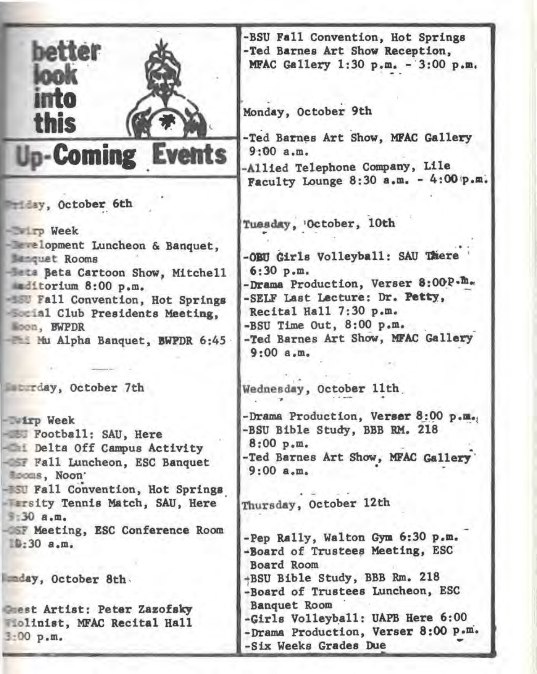| better<br><b>into</b><br>this<br><b>Up-Coming Events</b>                                                                                                                                                                                                                                           | -BSU Fall Convention, Hot Springs<br>-Ted Barnes Art Show Reception,<br>MFAC Gallery 1:30 p.m. - 3:00 p.m.<br>Monday, October 9th<br>-Ted Barnes Art Show, MFAC Gallery<br>9:00a.m.<br>-Allied Telephone Company, Lile<br>Faculty Lounge 8:30 a.m. - 4:00 p.m. |
|----------------------------------------------------------------------------------------------------------------------------------------------------------------------------------------------------------------------------------------------------------------------------------------------------|----------------------------------------------------------------------------------------------------------------------------------------------------------------------------------------------------------------------------------------------------------------|
| Helsy, October 6th<br>- Tp Week<br><b>Exclopment Luncheon &amp; Banquet,</b><br><b>Manquet Rooms</b><br><b>Esta Beta Cartoon Show, Mitchell</b><br>aditorium 8:00 p.m.<br><b>EU Fall Convention, Hot Springs</b><br>Social Club Presidents Meeting,<br>Woon, EWPDR<br>Mu Alpha Banquet, BWPDR 6:45 | Tuesday, 'October, 10th<br>-OBU Girls Volleyball: SAU There<br>6:30 p.m.<br>-Drama Production, Verser 8:00P.m.<br>-SELF Last Lecture: Dr. Petty,<br>Recital Hall 7:30 p.m.<br>-BSU Time Out, 8:00 p.m.<br>-Ted Barnes Art Show, MFAC Gallery<br>9:00a.m.       |
| <b>Eurday, October 7th</b>                                                                                                                                                                                                                                                                         | Wednesday, October 11th.                                                                                                                                                                                                                                       |
| <b>Wirp Week</b><br>- BU Football: SAU, Here<br>- In Delta Off Campus Activity<br>- SF Fall Luncheon, ESC Banquet<br>Mooms, Noon'<br>- ISU Fall Convention, Hot Springs                                                                                                                            | -Drama Production, Verser 8:00 p.m.,<br>-BSU Bible Study, BBB RM. 218<br>8:00 p.m.<br>-Ted Barnes Art Show, MFAC Gallery<br>9:00a.m.                                                                                                                           |
| <b>Farsity Tennis Match, SAU, Here</b><br>\$:30. a.m.<br>-OSF Meeting, ESC Conference Room<br>$10:30$ a.m.                                                                                                                                                                                         | Thursday, October 12th<br>-Pep Rally, Walton Gym 6:30 p.m.<br>-Board of Trustees Meeting, ESC<br>Board Room                                                                                                                                                    |
| aday, October 8th.                                                                                                                                                                                                                                                                                 | +BSU Bible Study, BBB Rm. 218<br>-Board of Trustees Luncheon, ESC                                                                                                                                                                                              |
| <b>Crest Artist: Peter Zazofsky</b><br>Molinist, MFAC Recital Hall<br>3:00 p.m.                                                                                                                                                                                                                    | <b>Banquet Room</b><br>-Girls Volleyball: UAPB Here 6:00<br>-Drama Production, Verser 8:00 p.m.<br>Six Weeks Grades Due                                                                                                                                        |